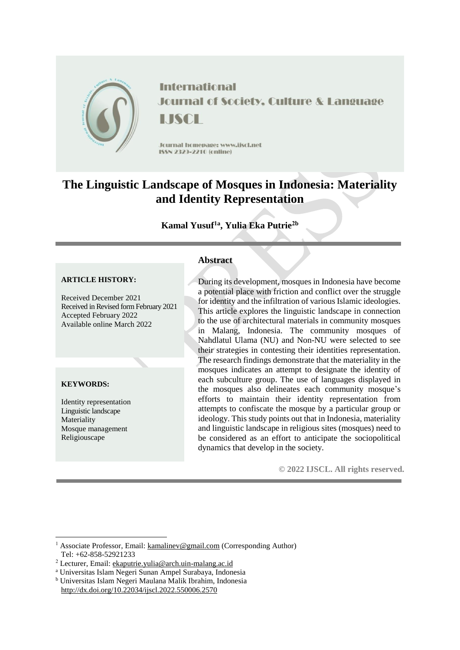

**International Journal of Society, Culture & Language** LISCH

Journal homepage: www.jiscl.net ISSN 2329-2210 (cnline)

# **The Linguistic Landscape of Mosques in Indonesia: Materiality and Identity Representation**

# **Kamal Yusuf1a , Yulia Eka Putrie2b**

#### **ARTICLE HISTORY:**

Received December 2021 Received in Revised form February 2021 Accepted February 2022 Available online March 2022

### **KEYWORDS:**

1

Identity representation Linguistic landscape Materiality Mosque management Religiouscape

### **Abstract**

During its development, mosques in Indonesia have become a potential place with friction and conflict over the struggle for identity and the infiltration of various Islamic ideologies. This article explores the linguistic landscape in connection to the use of architectural materials in community mosques in Malang, Indonesia. The community mosques of Nahdlatul Ulama (NU) and Non-NU were selected to see their strategies in contesting their identities representation. The research findings demonstrate that the materiality in the mosques indicates an attempt to designate the identity of each subculture group. The use of languages displayed in the mosques also delineates each community mosque's efforts to maintain their identity representation from attempts to confiscate the mosque by a particular group or ideology. This study points out that in Indonesia, materiality and linguistic landscape in religious sites (mosques) need to be considered as an effort to anticipate the sociopolitical dynamics that develop in the society.

**© 2022 IJSCL. All rights reserved.**

<sup>1</sup> Associate Professor, Email: [kamalinev@gmail.com](mailto:kamalinev@gmail.com) (Corresponding Author) Tel: +62-858-52921233

<sup>2</sup> Lecturer, Email: [ekaputrie.yulia@arch.uin-malang.ac.id](mailto:ekaputrie.yulia@arch.uin-malang.ac.id)

<sup>a</sup> Universitas Islam Negeri Sunan Ampel Surabaya, Indonesia

<sup>b</sup> Universitas Islam Negeri Maulana Malik Ibrahim, Indonesia

http://dx.doi.org/10.22034/ijscl.2022.550006.2570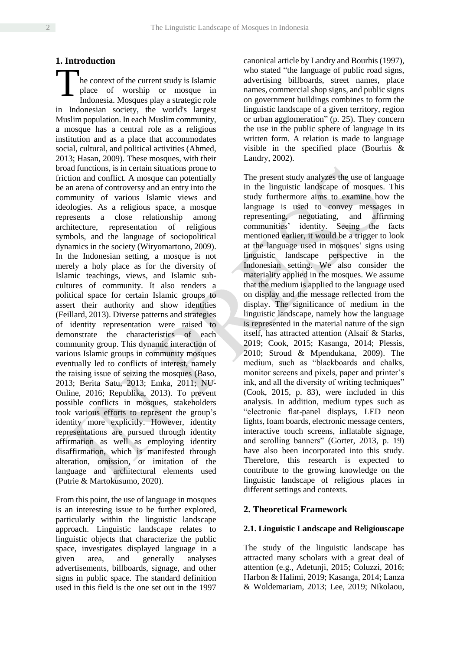# **1. Introduction**

he context of the current study is Islamic place of worship or mosque in Indonesia. Mosques play a strategic role in Indonesian society, the world's largest Muslim population. In each Muslim community, a mosque has a central role as a religious institution and as a place that accommodates social, cultural, and political activities (Ahmed, 2013; Hasan, 2009). These mosques, with their broad functions, is in certain situations prone to friction and conflict. A mosque can potentially be an arena of controversy and an entry into the community of various Islamic views and ideologies. As a religious space, a mosque represents a close relationship among architecture, representation of religious symbols, and the language of sociopolitical dynamics in the society (Wiryomartono, 2009). In the Indonesian setting, a mosque is not merely a holy place as for the diversity of Islamic teachings, views, and Islamic subcultures of community. It also renders a political space for certain Islamic groups to assert their authority and show identities (Feillard, 2013). Diverse patterns and strategies of identity representation were raised to demonstrate the characteristics of each community group. This dynamic interaction of various Islamic groups in community mosques eventually led to conflicts of interest, namely the raising issue of seizing the mosques (Baso, 2013; Berita Satu, 2013; Emka, 2011; NU-Online, 2016; Republika, 2013). To prevent possible conflicts in mosques, stakeholders took various efforts to represent the group's identity more explicitly. However, identity representations are pursued through identity affirmation as well as employing identity disaffirmation, which is manifested through alteration, omission, or imitation of the language and architectural elements used (Putrie & Martokusumo, 2020). T

From this point, the use of language in mosques is an interesting issue to be further explored, particularly within the linguistic landscape approach. Linguistic landscape relates to linguistic objects that characterize the public space, investigates displayed language in a given area, and generally analyses advertisements, billboards, signage, and other signs in public space. The standard definition used in this field is the one set out in the 1997 canonical article by Landry and Bourhis (1997), who stated "the language of public road signs, advertising billboards, street names, place names, commercial shop signs, and public signs on government buildings combines to form the linguistic landscape of a given territory, region or urban agglomeration" (p. 25). They concern the use in the public sphere of language in its written form. A relation is made to language visible in the specified place (Bourhis & Landry, 2002).

The present study analyzes the use of language in the linguistic landscape of mosques. This study furthermore aims to examine how the language is used to convey messages in representing, negotiating, and affirming communities' identity. Seeing the facts mentioned earlier, it would be a trigger to look at the language used in mosques' signs using linguistic landscape perspective in the Indonesian setting. We also consider the materiality applied in the mosques. We assume that the medium is applied to the language used on display and the message reflected from the display. The significance of medium in the linguistic landscape, namely how the language is represented in the material nature of the sign itself, has attracted attention (Alsaif & Starks, 2019; Cook, 2015; Kasanga, 2014; Plessis, 2010; Stroud & Mpendukana, 2009). The medium, such as "blackboards and chalks, monitor screens and pixels, paper and printer's ink, and all the diversity of writing techniques" (Cook, 2015, p. 83), were included in this analysis. In addition, medium types such as "electronic flat-panel displays, LED neon lights, foam boards, electronic message centers, interactive touch screens, inflatable signage, and scrolling banners" (Gorter, 2013, p. 19) have also been incorporated into this study. Therefore, this research is expected to contribute to the growing knowledge on the linguistic landscape of religious places in different settings and contexts.

# **2. Theoretical Framework**

# **2.1. Linguistic Landscape and Religiouscape**

The study of the linguistic landscape has attracted many scholars with a great deal of attention (e.g., Adetunji, 2015; Coluzzi, 2016; Harbon & Halimi, 2019; Kasanga, 2014; Lanza & Woldemariam, 2013; Lee, 2019; Nikolaou,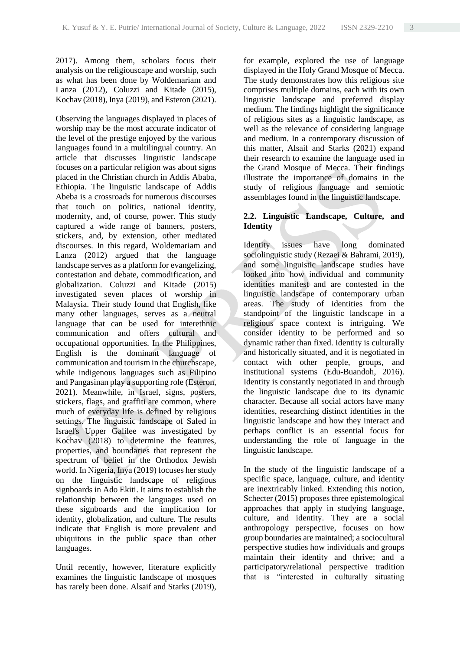2017). Among them, scholars focus their analysis on the religiouscape and worship, such as what has been done by Woldemariam and Lanza (2012), Coluzzi and Kitade (2015), Kochav (2018), Inya (2019), and Esteron (2021).

Observing the languages displayed in places of worship may be the most accurate indicator of the level of the prestige enjoyed by the various languages found in a multilingual country. An article that discusses linguistic landscape focuses on a particular religion was about signs placed in the Christian church in Addis Ababa, Ethiopia. The linguistic landscape of Addis Abeba is a crossroads for numerous discourses that touch on politics, national identity, modernity, and, of course, power. This study captured a wide range of banners, posters, stickers, and, by extension, other mediated discourses. In this regard, Woldemariam and Lanza (2012) argued that the language landscape serves as a platform for evangelizing, contestation and debate, commodification, and globalization. Coluzzi and Kitade (2015) investigated seven places of worship in Malaysia. Their study found that English, like many other languages, serves as a neutral language that can be used for interethnic communication and offers cultural and occupational opportunities. In the Philippines, English is the dominant language of communication and tourism in the churchscape, while indigenous languages such as Filipino and Pangasinan play a supporting role (Esteron, 2021). Meanwhile, in Israel, signs, posters, stickers, flags, and graffiti are common, where much of everyday life is defined by religious settings. The linguistic landscape of Safed in Israel's Upper Galilee was investigated by Kochav (2018) to determine the features, properties, and boundaries that represent the spectrum of belief in the Orthodox Jewish world. In Nigeria, Inya (2019) focuses her study on the linguistic landscape of religious signboards in Ado Ekiti. It aims to establish the relationship between the languages used on these signboards and the implication for identity, globalization, and culture. The results indicate that English is more prevalent and ubiquitous in the public space than other languages.

Until recently, however, literature explicitly examines the linguistic landscape of mosques has rarely been done. Alsaif and Starks (2019), for example, explored the use of language displayed in the Holy Grand Mosque of Mecca. The study demonstrates how this religious site comprises multiple domains, each with its own linguistic landscape and preferred display medium. The findings highlight the significance of religious sites as a linguistic landscape, as well as the relevance of considering language and medium. In a contemporary discussion of this matter, Alsaif and Starks (2021) expand their research to examine the language used in the Grand Mosque of Mecca. Their findings illustrate the importance of domains in the study of religious language and semiotic assemblages found in the linguistic landscape.

# **2.2. Linguistic Landscape, Culture, and Identity**

Identity issues have long dominated sociolinguistic study (Rezaei & Bahrami, 2019), and some linguistic landscape studies have looked into how individual and community identities manifest and are contested in the linguistic landscape of contemporary urban areas. The study of identities from the standpoint of the linguistic landscape in a religious space context is intriguing. We consider identity to be performed and so dynamic rather than fixed. Identity is culturally and historically situated, and it is negotiated in contact with other people, groups, and institutional systems (Edu-Buandoh, 2016). Identity is constantly negotiated in and through the linguistic landscape due to its dynamic character. Because all social actors have many identities, researching distinct identities in the linguistic landscape and how they interact and perhaps conflict is an essential focus for understanding the role of language in the linguistic landscape.

In the study of the linguistic landscape of a specific space, language, culture, and identity are inextricably linked. Extending this notion, Schecter (2015) proposes three epistemological approaches that apply in studying language, culture, and identity. They are a social anthropology perspective, focuses on how group boundaries are maintained; a sociocultural perspective studies how individuals and groups maintain their identity and thrive; and a participatory/relational perspective tradition that is "interested in culturally situating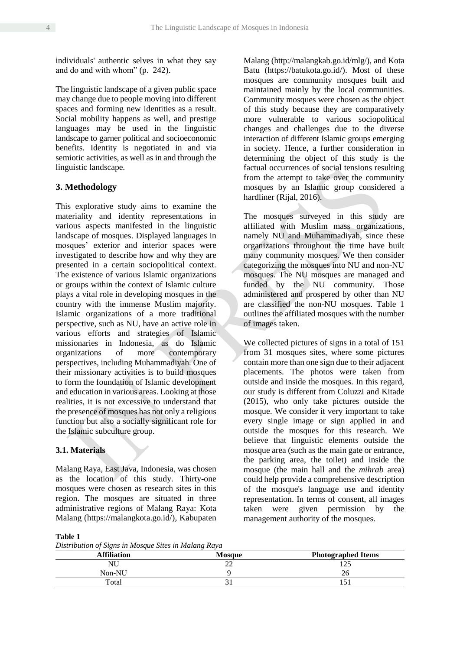individuals' authentic selves in what they say and do and with whom" (p. 242).

The linguistic landscape of a given public space may change due to people moving into different spaces and forming new identities as a result. Social mobility happens as well, and prestige languages may be used in the linguistic landscape to garner political and socioeconomic benefits. Identity is negotiated in and via semiotic activities, as well as in and through the linguistic landscape.

# **3. Methodology**

This explorative study aims to examine the materiality and identity representations in various aspects manifested in the linguistic landscape of mosques. Displayed languages in mosques' exterior and interior spaces were investigated to describe how and why they are presented in a certain sociopolitical context. The existence of various Islamic organizations or groups within the context of Islamic culture plays a vital role in developing mosques in the country with the immense Muslim majority. Islamic organizations of a more traditional perspective, such as NU, have an active role in various efforts and strategies of Islamic missionaries in Indonesia, as do Islamic organizations of more contemporary perspectives, including Muhammadiyah. One of their missionary activities is to build mosques to form the foundation of Islamic development and education in various areas. Looking at those realities, it is not excessive to understand that the presence of mosques has not only a religious function but also a socially significant role for the Islamic subculture group.

### **3.1. Materials**

Malang Raya, East Java, Indonesia, was chosen as the location of this study. Thirty-one mosques were chosen as research sites in this region. The mosques are situated in three administrative regions of Malang Raya: Kota Malang [\(https://malangkota.go.id/\)](https://malangkota.go.id/), Kabupaten Malang [\(http://malangkab.go.id/mlg/\)](http://malangkab.go.id/mlg/), and Kota Batu [\(https://batukota.go.id/\)](https://batukota.go.id/). Most of these mosques are community mosques built and maintained mainly by the local communities. Community mosques were chosen as the object of this study because they are comparatively more vulnerable to various sociopolitical changes and challenges due to the diverse interaction of different Islamic groups emerging in society. Hence, a further consideration in determining the object of this study is the factual occurrences of social tensions resulting from the attempt to take over the community mosques by an Islamic group considered a hardliner (Rijal, 2016).

The mosques surveyed in this study are affiliated with Muslim mass organizations, namely NU and Muhammadiyah, since these organizations throughout the time have built many community mosques. We then consider categorizing the mosques into NU and non-NU mosques. The NU mosques are managed and funded by the NU community. Those administered and prospered by other than NU are classified the non-NU mosques. Table 1 outlines the affiliated mosques with the number of images taken.

We collected pictures of signs in a total of 151 from 31 mosques sites, where some pictures contain more than one sign due to their adjacent placements. The photos were taken from outside and inside the mosques. In this regard, our study is different from Coluzzi and Kitade (2015), who only take pictures outside the mosque. We consider it very important to take every single image or sign applied in and outside the mosques for this research. We believe that linguistic elements outside the mosque area (such as the main gate or entrance, the parking area, the toilet) and inside the mosque (the main hall and the *mihrab* area) could help provide a comprehensive description of the mosque's language use and identity representation. In terms of consent, all images taken were given permission by the management authority of the mosques.

#### **Table 1**

*Distribution of Signs in Mosque Sites in Malang Raya*

| Affiliation | <b>Mosque</b> | <b>Photographed Items</b> |  |  |
|-------------|---------------|---------------------------|--|--|
| NU          | ⊷             | つち<br>⊥∠J                 |  |  |
| Non-NU      |               | ۷Q                        |  |  |
| Total       |               | 1 J 1                     |  |  |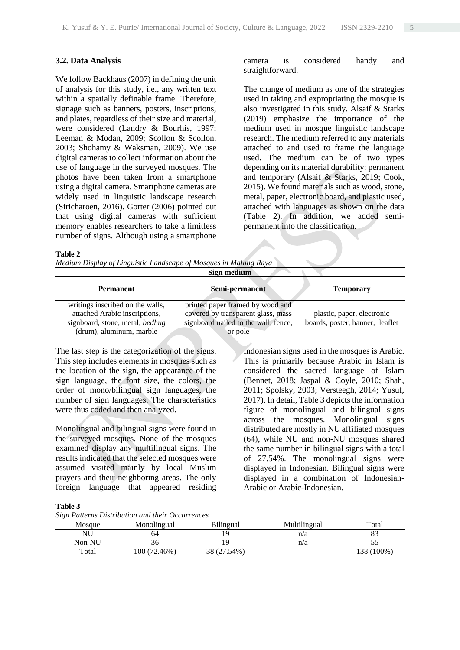### **3.2. Data Analysis**

We follow Backhaus (2007) in defining the unit of analysis for this study, i.e., any written text within a spatially definable frame. Therefore, signage such as banners, posters, inscriptions, and plates, regardless of their size and material, were considered (Landry & Bourhis, 1997; Leeman & Modan, 2009; Scollon & Scollon, 2003; Shohamy & Waksman, 2009). We use digital cameras to collect information about the use of language in the surveyed mosques. The photos have been taken from a smartphone using a digital camera. Smartphone cameras are widely used in linguistic landscape research (Siricharoen, 2016). Gorter (2006) pointed out that using digital cameras with sufficient memory enables researchers to take a limitless number of signs. Although using a smartphone

### camera is considered handy and straightforward.

The change of medium as one of the strategies used in taking and expropriating the mosque is also investigated in this study. Alsaif & Starks (2019) emphasize the importance of the medium used in mosque linguistic landscape research. The medium referred to any materials attached to and used to frame the language used. The medium can be of two types depending on its material durability: permanent and temporary (Alsaif & Starks, 2019; Cook, 2015). We found materials such as wood, stone, metal, paper, electronic board, and plastic used, attached with languages as shown on the data (Table 2). In addition, we added semipermanent into the classification.

#### **Table 2**

*Medium Display of Linguistic Landscape of Mosques in Malang Raya*

|                                  | Sign medium                          |                                 |
|----------------------------------|--------------------------------------|---------------------------------|
| <b>Permanent</b>                 | Semi-permanent                       | <b>Temporary</b>                |
| writings inscribed on the walls, | printed paper framed by wood and     |                                 |
| attached Arabic inscriptions,    | covered by transparent glass, mass   | plastic, paper, electronic      |
| signboard, stone, metal, bedhug  | signboard nailed to the wall, fence, | boards, poster, banner, leaflet |
| (drum), aluminum, marble         | or pole                              |                                 |

The last step is the categorization of the signs. This step includes elements in mosques such as the location of the sign, the appearance of the sign language, the font size, the colors, the order of mono/bilingual sign languages, the number of sign languages. The characteristics were thus coded and then analyzed.

Monolingual and bilingual signs were found in the surveyed mosques. None of the mosques examined display any multilingual signs. The results indicated that the selected mosques were assumed visited mainly by local Muslim prayers and their neighboring areas. The only foreign language that appeared residing Indonesian signs used in the mosques is Arabic. This is primarily because Arabic in Islam is considered the sacred language of Islam (Bennet, 2018; Jaspal & Coyle, 2010; Shah, 2011; Spolsky, 2003; Versteegh, 2014; Yusuf, 2017). In detail, Table 3 depicts the information figure of monolingual and bilingual signs across the mosques. Monolingual signs distributed are mostly in NU affiliated mosques (64), while NU and non-NU mosques shared the same number in bilingual signs with a total of 27.54%. The monolingual signs were displayed in Indonesian. Bilingual signs were displayed in a combination of Indonesian-Arabic or Arabic-Indonesian.

#### **Table 3**

*Sign Patterns Distribution and their Occurrences*

|        | bight I and his Distribution and their Ocean renees |             |              |            |
|--------|-----------------------------------------------------|-------------|--------------|------------|
| Mosque | Monolingual                                         | Bilingual   | Multilingual | Total      |
| NU     | 04                                                  |             | n/a          |            |
| Non-NU |                                                     |             | n/a          |            |
| Total  | (00 (72.46%)                                        | 38 (27.54%) | -            | 138 (100%) |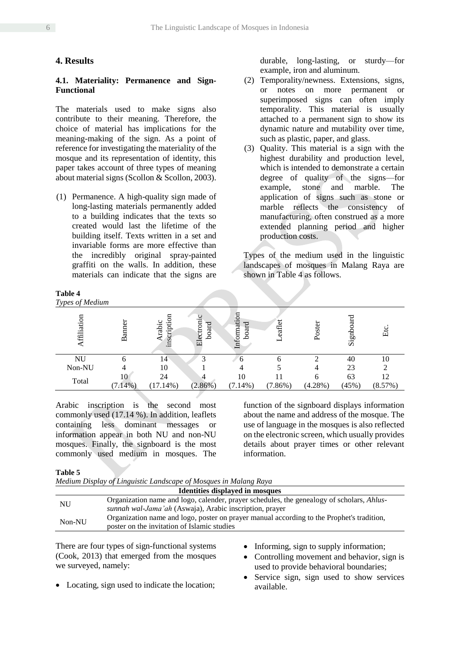# **4. Results**

### **4.1. Materiality: Permanence and Sign-Functional**

The materials used to make signs also contribute to their meaning. Therefore, the choice of material has implications for the meaning-making of the sign. As a point of reference for investigating the materiality of the mosque and its representation of identity, this paper takes account of three types of meaning about material signs (Scollon & Scollon, 2003).

(1) Permanence. A high-quality sign made of long-lasting materials permanently added to a building indicates that the texts so created would last the lifetime of the building itself. Texts written in a set and invariable forms are more effective than the incredibly original spray-painted graffiti on the walls. In addition, these materials can indicate that the signs are

### **Table 4**

durable, long-lasting, or sturdy—for example, iron and aluminum.

- (2) Temporality/newness. Extensions, signs, or notes on more permanent or superimposed signs can often imply temporality. This material is usually attached to a permanent sign to show its dynamic nature and mutability over time, such as plastic, paper, and glass.
- (3) Quality. This material is a sign with the highest durability and production level, which is intended to demonstrate a certain degree of quality of the signs—for example, stone and marble. The application of signs such as stone or marble reflects the consistency of manufacturing, often construed as a more extended planning period and higher production costs.

Types of the medium used in the linguistic landscapes of mosques in Malang Raya are shown in Table 4 as follows.

| Types of Medium |               |                           |                         |                      |             |            |       |         |
|-----------------|---------------|---------------------------|-------------------------|----------------------|-------------|------------|-------|---------|
| ffiliation      | <b>Banner</b> | కె<br>Arabic<br>inscripti | ပ<br>Electroni<br>board | Information<br>board | eaflet<br>− | Poster     | Signt | Etc     |
| NU              | h             | 14                        |                         | h                    |             |            | 40    | 10      |
| Non-NU          |               | 10                        |                         |                      |             |            | 23    |         |
| Total           | 10            | 24                        | Δ                       | 10                   |             |            | 63    | 12      |
|                 | $(7.14\%)$    | $(17.14\%)$               | $(2.86\%)$              | $(7.14\%)$           | (7.86%)     | $(4.28\%)$ | (45%) | (8.57%) |

Arabic inscription is the second most commonly used (17.14 %). In addition, leaflets containing less dominant messages or information appear in both NU and non-NU mosques. Finally, the signboard is the most commonly used medium in mosques. The function of the signboard displays information about the name and address of the mosque. The use of language in the mosques is also reflected on the electronic screen, which usually provides details about prayer times or other relevant information.

#### **Table 5**

| Medium Display of Linguistic Landscape of Mosques in Malang Raya |                                                                                                                                                      |  |
|------------------------------------------------------------------|------------------------------------------------------------------------------------------------------------------------------------------------------|--|
| <b>Identities displayed in mosques</b>                           |                                                                                                                                                      |  |
| NU                                                               | Organization name and logo, calender, prayer schedules, the genealogy of scholars, Ahlus-<br>sunnah wal-Jama'ah (Aswaja), Arabic inscription, prayer |  |
| Non-NU                                                           | Organization name and logo, poster on prayer manual according to the Prophet's tradition,<br>poster on the invitation of Islamic studies             |  |

There are four types of sign-functional systems (Cook, 2013) that emerged from the mosques we surveyed, namely:

Locating, sign used to indicate the location;

- Informing, sign to supply information;
- Controlling movement and behavior, sign is used to provide behavioral boundaries;
- Service sign, sign used to show services available.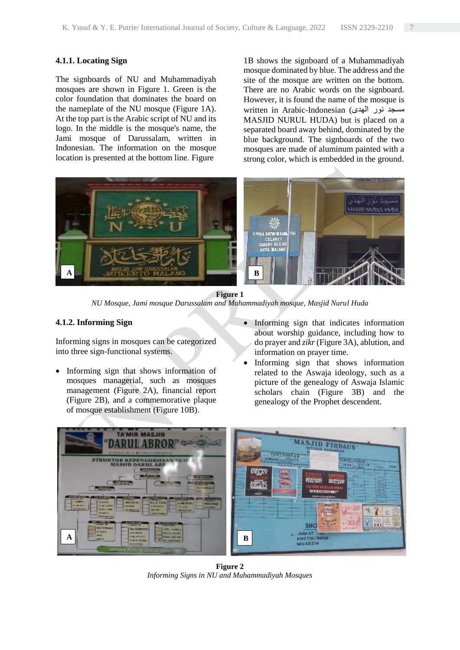### **4.1.1. Locating Sign**

The signboards of NU and Muhammadiyah mosques are shown in Figure 1. Green is the color foundation that dominates the board on the nameplate of the NU mosque (Figure 1A). At the top part is the Arabic script of NU and its logo. In the middle is the mosque's name, the Jami mosque of Darussalam, written in Indonesian. The information on the mosque location is presented at the bottom line. Figure

1B shows the signboard of a Muhammadiyah mosque dominated by blue. The address and the site of the mosque are written on the bottom. There are no Arabic words on the signboard. However, it is found the name of the mosque is written in Arabic-Indonesian (الهدى نور مسجد MASJID NURUL HUDA) but is placed on a separated board away behind, dominated by the blue background. The signboards of the two mosques are made of aluminum painted with a strong color, which is embedded in the ground.



**Figure 1** *NU Mosque, Jami mosque Darussalam and Muhammadiyah mosque, Masjid Nurul Huda*

### **4.1.2. Informing Sign**

Informing signs in mosques can be categorized into three sign-functional systems.

- Informing sign that shows information of mosques managerial, such as mosques management (Figure 2A), financial report (Figure 2B), and a commemorative plaque of mosque establishment (Figure 10B).
- Informing sign that indicates information about worship guidance, including how to do prayer and *zikr* (Figure 3A), ablution, and information on prayer time.
- Informing sign that shows information related to the Aswaja ideology, such as a picture of the genealogy of Aswaja Islamic scholars chain (Figure 3B) and the genealogy of the Prophet descendent.



**Figure 2** *Informing Signs in NU and Muhammadiyah Mosques*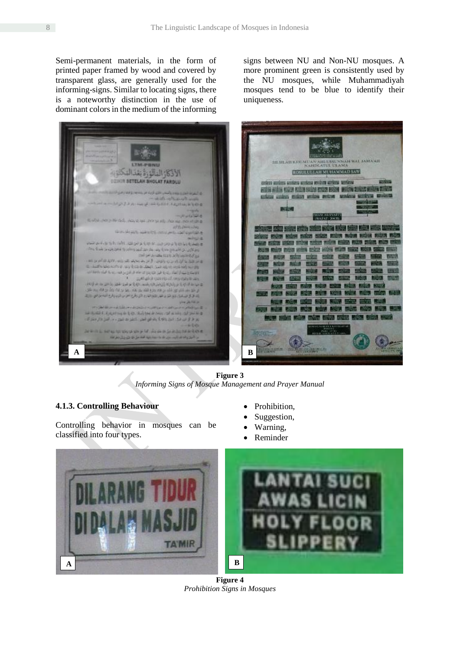Semi-permanent materials, in the form of printed paper framed by wood and covered by transparent glass, are generally used for the informing-signs. Similar to locating signs, there is a noteworthy distinction in the use of dominant colors in the medium of the informing

signs between NU and Non-NU mosques. A more prominent green is consistently used by the NU mosques, while Muhammadiyah mosques tend to be blue to identify their uniqueness.



**Figure 3** *Informing Signs of Mosque Management and Prayer Manual*

# **4.1.3. Controlling Behaviour**

Controlling behavior in mosques can be classified into four types.

- Prohibition,
- Suggestion,
- Warning,
- Reminder



**Figure 4** *Prohibition Signs in Mosques*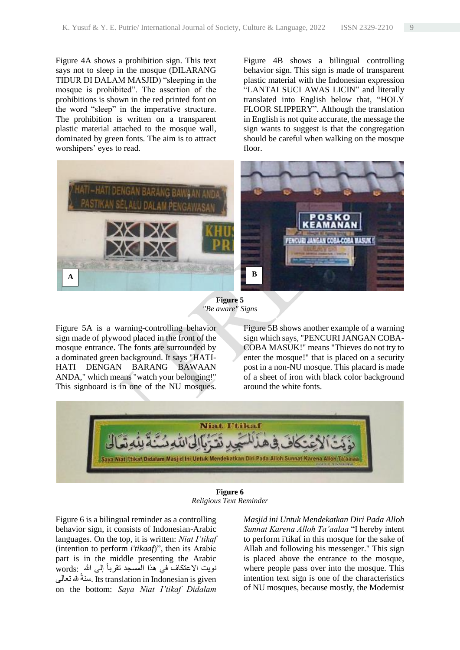Figure 4A shows a prohibition sign. This text says not to sleep in the mosque (DILARANG TIDUR DI DALAM MASJID) "sleeping in the mosque is prohibited". The assertion of the prohibitions is shown in the red printed font on the word "sleep" in the imperative structure. The prohibition is written on a transparent plastic material attached to the mosque wall, dominated by green fonts. The aim is to attract worshipers' eyes to read.

Figure 4B shows a bilingual controlling behavior sign. This sign is made of transparent plastic material with the Indonesian expression "LANTAI SUCI AWAS LICIN" and literally translated into English below that, "HOLY FLOOR SLIPPERY". Although the translation in English is not quite accurate, the message the sign wants to suggest is that the congregation should be careful when walking on the mosque floor.



**Figure 5** *"Be aware" Signs*

Figure 5A is a warning-controlling behavior sign made of plywood placed in the front of the mosque entrance. The fonts are surrounded by a dominated green background. It says "HATI-HATI DENGAN BARANG BAWAAN ANDA," which means "watch your belonging!" This signboard is in one of the NU mosques. Figure 5B shows another example of a warning sign which says, "PENCURI JANGAN COBA-COBA MASUK!" means "Thieves do not try to enter the mosque!" that is placed on a security post in a non-NU mosque. This placard is made of a sheet of iron with black color background around the white fonts.



**Figure 6** *Religious Text Reminder*

Figure 6 is a bilingual reminder as a controlling behavior sign, it consists of Indonesian-Arabic languages. On the top, it is written: *Niat I'tikaf* (intention to perform *i'tikaaf*)", then its Arabic part is in the middle presenting the Arabic نويت الاعتكاف ّ في هذا المسجد تقرباً إلى الله :words سنةً مله نعالى Its translation in Indonesian is given on the bottom: *Saya Niat I'tikaf Didalam* 

*Masjid ini Untuk Mendekatkan Diri Pada Alloh Sunnat Karena Alloh Ta'aalaa* "I hereby intent to perform i'tikaf in this mosque for the sake of Allah and following his messenger." This sign is placed above the entrance to the mosque, where people pass over into the mosque. This intention text sign is one of the characteristics of NU mosques, because mostly, the Modernist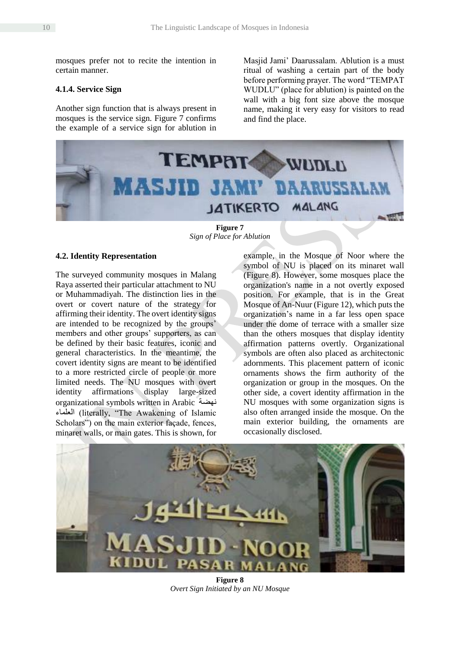mosques prefer not to recite the intention in certain manner.

# **4.1.4. Service Sign**

Another sign function that is always present in mosques is the service sign. Figure 7 confirms the example of a service sign for ablution in Masjid Jami' Daarussalam. Ablution is a must ritual of washing a certain part of the body before performing prayer. The word "TEMPAT WUDLU" (place for ablution) is painted on the wall with a big font size above the mosque name, making it very easy for visitors to read and find the place.



**Figure 7** *Sign of Place for Ablution*

### **4.2. Identity Representation**

The surveyed community mosques in Malang Raya asserted their particular attachment to NU or Muhammadiyah. The distinction lies in the overt or covert nature of the strategy for affirming their identity. The overt identity signs are intended to be recognized by the groups' members and other groups' supporters, as can be defined by their basic features, iconic and general characteristics. In the meantime, the covert identity signs are meant to be identified to a more restricted circle of people or more limited needs. The NU mosques with overt identity affirmations display large-sized organizational symbols written in Arabic نهضة العلماء) literally, "The Awakening of Islamic Scholars") on the main exterior façade, fences, minaret walls, or main gates. This is shown, for

example, in the Mosque of Noor where the symbol of NU is placed on its minaret wall (Figure 8). However, some mosques place the organization's name in a not overtly exposed position. For example, that is in the Great Mosque of An-Nuur (Figure 12), which puts the organization's name in a far less open space under the dome of terrace with a smaller size than the others mosques that display identity affirmation patterns overtly. Organizational symbols are often also placed as architectonic adornments. This placement pattern of iconic ornaments shows the firm authority of the organization or group in the mosques. On the other side, a covert identity affirmation in the NU mosques with some organization signs is also often arranged inside the mosque. On the main exterior building, the ornaments are occasionally disclosed.



**Figure 8** *Overt Sign Initiated by an NU Mosque*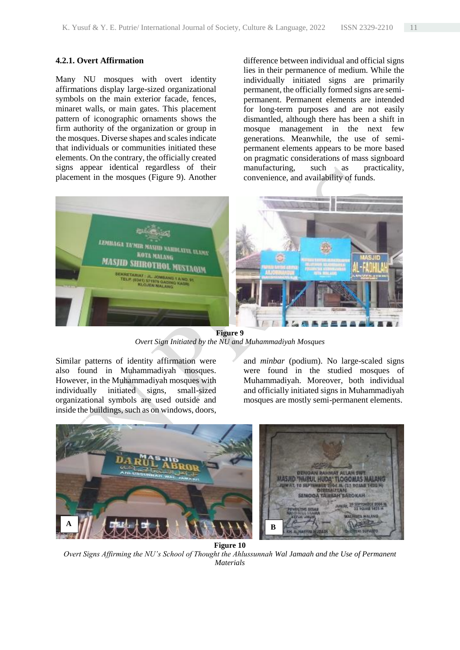### **4.2.1. Overt Affirmation**

Many NU mosques with overt identity affirmations display large-sized organizational symbols on the main exterior facade, fences, minaret walls, or main gates. This placement pattern of iconographic ornaments shows the firm authority of the organization or group in the mosques. Diverse shapes and scales indicate that individuals or communities initiated these elements. On the contrary, the officially created signs appear identical regardless of their placement in the mosques (Figure 9). Another difference between individual and official signs lies in their permanence of medium. While the individually initiated signs are primarily permanent, the officially formed signs are semipermanent. Permanent elements are intended for long-term purposes and are not easily dismantled, although there has been a shift in mosque management in the next few generations. Meanwhile, the use of semipermanent elements appears to be more based on pragmatic considerations of mass signboard manufacturing, such as practicality, convenience, and availability of funds.



**Figure 9** *Overt Sign Initiated by the NU and Muhammadiyah Mosques*

Similar patterns of identity affirmation were also found in Muhammadiyah mosques. However, in the Muhammadiyah mosques with individually initiated signs, small-sized organizational symbols are used outside and inside the buildings, such as on windows, doors, and *minbar* (podium). No large-scaled signs were found in the studied mosques of Muhammadiyah. Moreover, both individual and officially initiated signs in Muhammadiyah mosques are mostly semi-permanent elements.



*Overt Signs Affirming the NU's School of Thought the Ahlussunnah Wal Jamaah and the Use of Permanent Materials*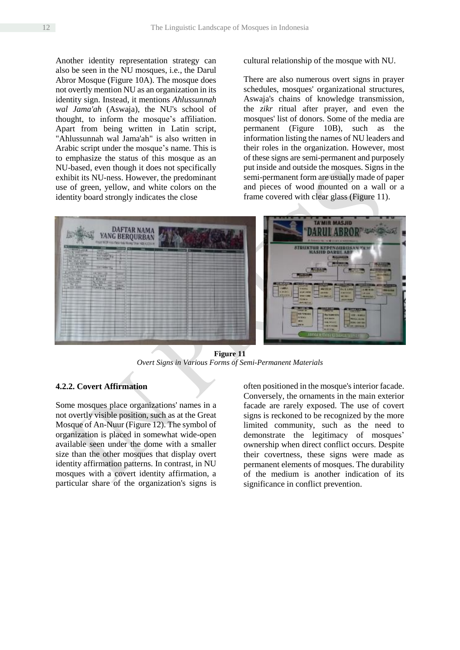Another identity representation strategy can also be seen in the NU mosques, i.e., the Darul Abror Mosque (Figure 10A). The mosque does not overtly mention NU as an organization in its identity sign. Instead, it mentions *Ahlussunnah wal Jama'ah* (Aswaja), the NU's school of thought, to inform the mosque's affiliation. Apart from being written in Latin script, "Ahlussunnah wal Jama'ah" is also written in Arabic script under the mosque's name. This is to emphasize the status of this mosque as an NU-based, even though it does not specifically exhibit its NU-ness. However, the predominant use of green, yellow, and white colors on the identity board strongly indicates the close

cultural relationship of the mosque with NU.

There are also numerous overt signs in prayer schedules, mosques' organizational structures, Aswaja's chains of knowledge transmission, the *zikr* ritual after prayer, and even the mosques' list of donors. Some of the media are permanent (Figure 10B), such as the information listing the names of NU leaders and their roles in the organization. However, most of these signs are semi-permanent and purposely put inside and outside the mosques. Signs in the semi-permanent form are usually made of paper and pieces of wood mounted on a wall or a frame covered with clear glass (Figure 11).



**Figure 11** *Overt Signs in Various Forms of Semi-Permanent Materials*

# **4.2.2. Covert Affirmation**

Some mosques place organizations' names in a not overtly visible position, such as at the Great Mosque of An-Nuur (Figure 12). The symbol of organization is placed in somewhat wide-open available seen under the dome with a smaller size than the other mosques that display overt identity affirmation patterns. In contrast, in NU mosques with a covert identity affirmation, a particular share of the organization's signs is

often positioned in the mosque's interior facade. Conversely, the ornaments in the main exterior facade are rarely exposed. The use of covert signs is reckoned to be recognized by the more limited community, such as the need to demonstrate the legitimacy of mosques' ownership when direct conflict occurs. Despite their covertness, these signs were made as permanent elements of mosques. The durability of the medium is another indication of its significance in conflict prevention.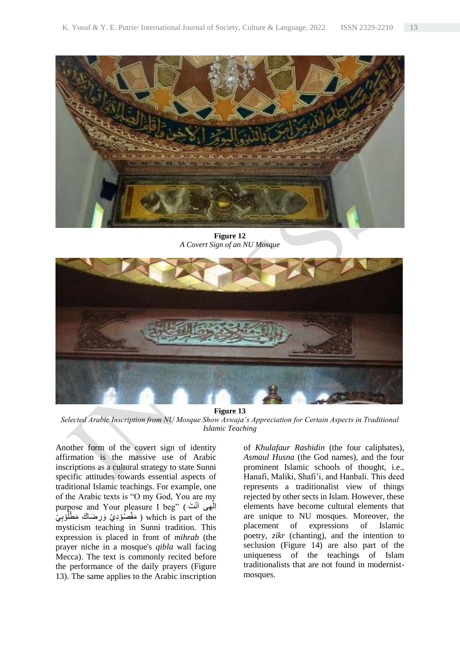

**Figure 12** *A Covert Sign of an NU Mosque*



**Figure 13**

*Selected Arabic Inscription from NU Mosque Show Aswaja's Appreciation for Certain Aspects in Traditional Islamic Teaching*

Another form of the covert sign of identity affirmation is the massive use of Arabic inscriptions as a cultural strategy to state Sunni specific attitudes towards essential aspects of traditional Islamic teachings. For example, one of the Arabic texts is "O my God, You are my purpose and Your pleasure I beg" (اَلَهِی أَنْتَ ) مَقْصُوْدِيْ وَرِضَاكَ مَطْلُوْبِيْ ) which is part of the ا mysticism teaching in Sunni tradition. This expression is placed in front of *mihrab* (the prayer niche in a mosque's *qibla* wall facing Mecca). The text is commonly recited before the performance of the daily prayers (Figure 13). The same applies to the Arabic inscription

of *Khulafaur Rashidin* (the four caliphates), *Asmaul Husna* (the God names), and the four prominent Islamic schools of thought, i.e., Hanafi, Maliki, Shafi'i, and Hanbali. This deed represents a traditionalist view of things rejected by other sects in Islam. However, these elements have become cultural elements that are unique to NU mosques. Moreover, the placement of expressions of Islamic poetry, *zikr* (chanting), and the intention to seclusion (Figure 14) are also part of the uniqueness of the teachings of Islam traditionalists that are not found in modernistmosques.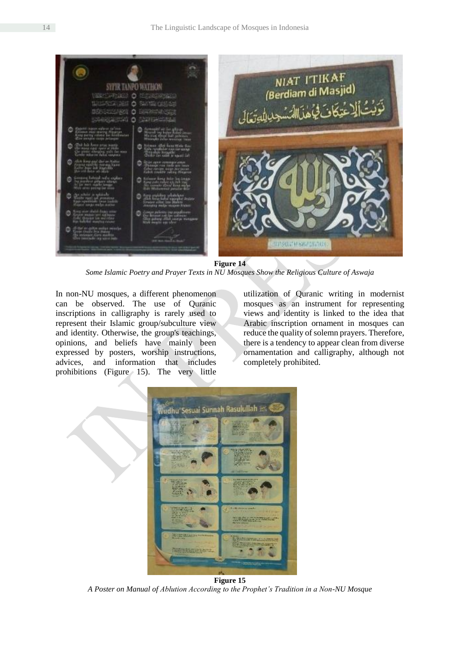

**Figure 14**

*Some Islamic Poetry and Prayer Texts in NU Mosques Show the Religious Culture of Aswaja*

In non-NU mosques, a different phenomenon can be observed. The use of Quranic inscriptions in calligraphy is rarely used to represent their Islamic group/subculture view and identity. Otherwise, the group's teachings, opinions, and beliefs have mainly been expressed by posters, worship instructions, advices, and information that includes prohibitions (Figure 15). The very little

utilization of Quranic writing in modernist mosques as an instrument for representing views and identity is linked to the idea that Arabic inscription ornament in mosques can reduce the quality of solemn prayers. Therefore, there is a tendency to appear clean from diverse ornamentation and calligraphy, although not completely prohibited.



*A Poster on Manual of Ablution According to the Prophet's Tradition in a Non-NU Mosque*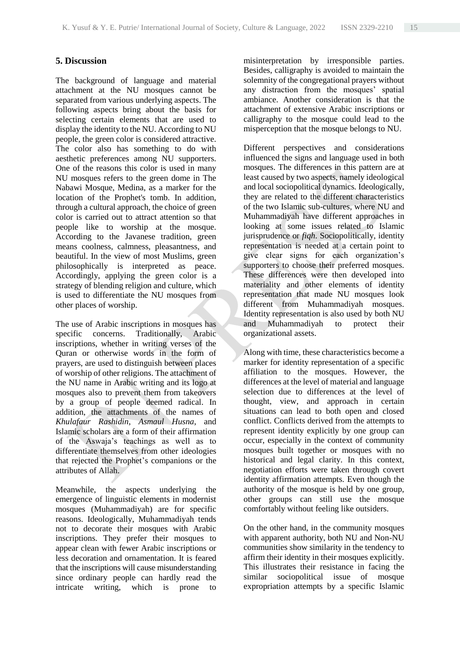# **5. Discussion**

The background of language and material attachment at the NU mosques cannot be separated from various underlying aspects. The following aspects bring about the basis for selecting certain elements that are used to display the identity to the NU. According to NU people, the green color is considered attractive. The color also has something to do with aesthetic preferences among NU supporters. One of the reasons this color is used in many NU mosques refers to the green dome in The Nabawi Mosque, Medina, as a marker for the location of the Prophet's tomb. In addition, through a cultural approach, the choice of green color is carried out to attract attention so that people like to worship at the mosque. According to the Javanese tradition, green means coolness, calmness, pleasantness, and beautiful. In the view of most Muslims, green philosophically is interpreted as peace. Accordingly, applying the green color is a strategy of blending religion and culture, which is used to differentiate the NU mosques from other places of worship.

The use of Arabic inscriptions in mosques has specific concerns. Traditionally, Arabic inscriptions, whether in writing verses of the Quran or otherwise words in the form of prayers, are used to distinguish between places of worship of other religions. The attachment of the NU name in Arabic writing and its logo at mosques also to prevent them from takeovers by a group of people deemed radical. In addition, the attachments of the names of *Khulafaur Rashidin*, *Asmaul Husna*, and Islamic scholars are a form of their affirmation of the Aswaja's teachings as well as to differentiate themselves from other ideologies that rejected the Prophet's companions or the attributes of Allah.

Meanwhile, the aspects underlying the emergence of linguistic elements in modernist mosques (Muhammadiyah) are for specific reasons. Ideologically, Muhammadiyah tends not to decorate their mosques with Arabic inscriptions. They prefer their mosques to appear clean with fewer Arabic inscriptions or less decoration and ornamentation. It is feared that the inscriptions will cause misunderstanding since ordinary people can hardly read the intricate writing, which is prone to

misinterpretation by irresponsible parties. Besides, calligraphy is avoided to maintain the solemnity of the congregational prayers without any distraction from the mosques' spatial ambiance. Another consideration is that the attachment of extensive Arabic inscriptions or calligraphy to the mosque could lead to the misperception that the mosque belongs to NU.

Different perspectives and considerations influenced the signs and language used in both mosques. The differences in this pattern are at least caused by two aspects, namely ideological and local sociopolitical dynamics. Ideologically, they are related to the different characteristics of the two Islamic sub-cultures, where NU and Muhammadiyah have different approaches in looking at some issues related to Islamic jurisprudence or *fiqh*. Sociopolitically, identity representation is needed at a certain point to give clear signs for each organization's supporters to choose their preferred mosques. These differences were then developed into materiality and other elements of identity representation that made NU mosques look different from Muhammadiyah mosques. Identity representation is also used by both NU and Muhammadiyah to protect their organizational assets.

Along with time, these characteristics become a marker for identity representation of a specific affiliation to the mosques. However, the differences at the level of material and language selection due to differences at the level of thought, view, and approach in certain situations can lead to both open and closed conflict. Conflicts derived from the attempts to represent identity explicitly by one group can occur, especially in the context of community mosques built together or mosques with no historical and legal clarity. In this context, negotiation efforts were taken through covert identity affirmation attempts. Even though the authority of the mosque is held by one group, other groups can still use the mosque comfortably without feeling like outsiders.

On the other hand, in the community mosques with apparent authority, both NU and Non-NU communities show similarity in the tendency to affirm their identity in their mosques explicitly. This illustrates their resistance in facing the similar sociopolitical issue of mosque expropriation attempts by a specific Islamic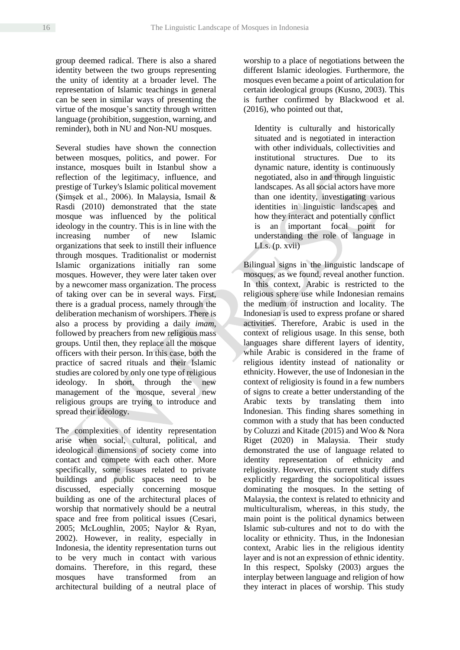group deemed radical. There is also a shared identity between the two groups representing the unity of identity at a broader level. The representation of Islamic teachings in general can be seen in similar ways of presenting the virtue of the mosque's sanctity through written language (prohibition, suggestion, warning, and reminder), both in NU and Non-NU mosques.

Several studies have shown the connection between mosques, politics, and power. For instance, mosques built in Istanbul show a reflection of the legitimacy, influence, and prestige of Turkey's Islamic political movement (Şimşek et al., 2006). In Malaysia, Ismail & Rasdi (2010) demonstrated that the state mosque was influenced by the political ideology in the country. This is in line with the increasing number of new Islamic organizations that seek to instill their influence through mosques. Traditionalist or modernist Islamic organizations initially ran some mosques. However, they were later taken over by a newcomer mass organization. The process of taking over can be in several ways. First, there is a gradual process, namely through the deliberation mechanism of worshipers. There is also a process by providing a daily *imam*, followed by preachers from new religious mass groups. Until then, they replace all the mosque officers with their person. In this case, both the practice of sacred rituals and their Islamic studies are colored by only one type of religious ideology. In short, through the new management of the mosque, several new religious groups are trying to introduce and spread their ideology.

The complexities of identity representation arise when social, cultural, political, and ideological dimensions of society come into contact and compete with each other. More specifically, some issues related to private buildings and public spaces need to be discussed, especially concerning mosque building as one of the architectural places of worship that normatively should be a neutral space and free from political issues (Cesari, 2005; McLoughlin, 2005; Naylor & Ryan, 2002). However, in reality, especially in Indonesia, the identity representation turns out to be very much in contact with various domains. Therefore, in this regard, these mosques have transformed from an architectural building of a neutral place of worship to a place of negotiations between the different Islamic ideologies. Furthermore, the mosques even became a point of articulation for certain ideological groups (Kusno, 2003). This is further confirmed by Blackwood et al. (2016), who pointed out that,

Identity is culturally and historically situated and is negotiated in interaction with other individuals, collectivities and institutional structures. Due to its dynamic nature, identity is continuously negotiated, also in and through linguistic landscapes. As all social actors have more than one identity, investigating various identities in linguistic landscapes and how they interact and potentially conflict is an important focal point for understanding the role of language in LLs. (p. xvii)

Bilingual signs in the linguistic landscape of mosques, as we found, reveal another function. In this context, Arabic is restricted to the religious sphere use while Indonesian remains the medium of instruction and locality. The Indonesian is used to express profane or shared activities. Therefore, Arabic is used in the context of religious usage. In this sense, both languages share different layers of identity, while Arabic is considered in the frame of religious identity instead of nationality or ethnicity. However, the use of Indonesian in the context of religiosity is found in a few numbers of signs to create a better understanding of the Arabic texts by translating them into Indonesian. This finding shares something in common with a study that has been conducted by Coluzzi and Kitade (2015) and Woo & Nora Riget (2020) in Malaysia. Their study demonstrated the use of language related to identity representation of ethnicity and religiosity. However, this current study differs explicitly regarding the sociopolitical issues dominating the mosques. In the setting of Malaysia, the context is related to ethnicity and multiculturalism, whereas, in this study, the main point is the political dynamics between Islamic sub-cultures and not to do with the locality or ethnicity. Thus, in the Indonesian context, Arabic lies in the religious identity layer and is not an expression of ethnic identity. In this respect, Spolsky (2003) argues the interplay between language and religion of how they interact in places of worship. This study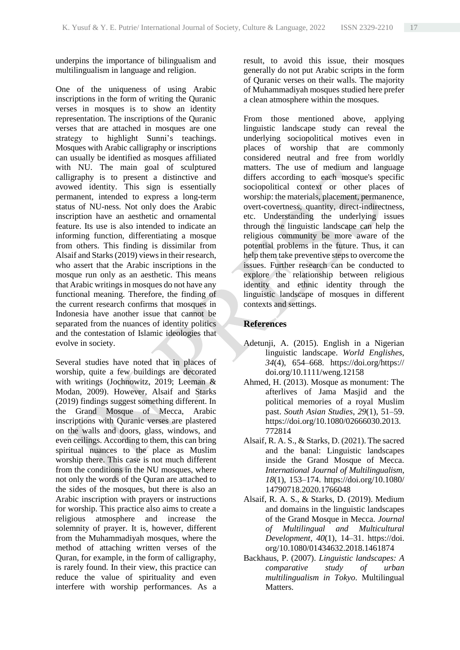underpins the importance of bilingualism and multilingualism in language and religion.

One of the uniqueness of using Arabic inscriptions in the form of writing the Quranic verses in mosques is to show an identity representation. The inscriptions of the Quranic verses that are attached in mosques are one strategy to highlight Sunni's teachings. Mosques with Arabic calligraphy or inscriptions can usually be identified as mosques affiliated with NU. The main goal of sculptured calligraphy is to present a distinctive and avowed identity. This sign is essentially permanent, intended to express a long-term status of NU-ness. Not only does the Arabic inscription have an aesthetic and ornamental feature. Its use is also intended to indicate an informing function, differentiating a mosque from others. This finding is dissimilar from Alsaif and Starks (2019) views in their research, who assert that the Arabic inscriptions in the mosque run only as an aesthetic. This means that Arabic writings in mosques do not have any functional meaning. Therefore, the finding of the current research confirms that mosques in Indonesia have another issue that cannot be separated from the nuances of identity politics and the contestation of Islamic ideologies that evolve in society.

Several studies have noted that in places of worship, quite a few buildings are decorated with writings (Jochnowitz, 2019; Leeman & Modan, 2009). However, Alsaif and Starks (2019) findings suggest something different. In the Grand Mosque of Mecca, Arabic inscriptions with Quranic verses are plastered on the walls and doors, glass, windows, and even ceilings. According to them, this can bring spiritual nuances to the place as Muslim worship there. This case is not much different from the conditions in the NU mosques, where not only the words of the Quran are attached to the sides of the mosques, but there is also an Arabic inscription with prayers or instructions for worship. This practice also aims to create a religious atmosphere and increase the solemnity of prayer. It is, however, different from the Muhammadiyah mosques, where the method of attaching written verses of the Quran, for example, in the form of calligraphy, is rarely found. In their view, this practice can reduce the value of spirituality and even interfere with worship performances. As a

result, to avoid this issue, their mosques generally do not put Arabic scripts in the form of Quranic verses on their walls. The majority of Muhammadiyah mosques studied here prefer a clean atmosphere within the mosques.

From those mentioned above, applying linguistic landscape study can reveal the underlying sociopolitical motives even in places of worship that are commonly considered neutral and free from worldly matters. The use of medium and language differs according to each mosque's specific sociopolitical context or other places of worship: the materials, placement, permanence, overt-covertness, quantity, direct-indirectness, etc. Understanding the underlying issues through the linguistic landscape can help the religious community be more aware of the potential problems in the future. Thus, it can help them take preventive steps to overcome the issues. Further research can be conducted to explore the relationship between religious identity and ethnic identity through the linguistic landscape of mosques in different contexts and settings.

# **References**

- Adetunji, A. (2015). English in a Nigerian linguistic landscape. *World Englishes*, *34*(4), 654–668. https://doi.org/https:// doi.org/10.1111/weng.12158
- Ahmed, H. (2013). Mosque as monument: The afterlives of Jama Masjid and the political memories of a royal Muslim past. *South Asian Studies*, *29*(1), 51–59. https://doi.org/10.1080/02666030.2013. 772814
- Alsaif, R. A. S., & Starks, D. (2021). The sacred and the banal: Linguistic landscapes inside the Grand Mosque of Mecca. *International Journal of Multilingualism*, *18*(1), 153–174. https://doi.org/10.1080/ 14790718.2020.1766048
- Alsaif, R. A. S., & Starks, D. (2019). Medium and domains in the linguistic landscapes of the Grand Mosque in Mecca. *Journal of Multilingual and Multicultural Development*, *40*(1), 14–31. https://doi. org/10.1080/01434632.2018.1461874
- Backhaus, P. (2007). *Linguistic landscapes: A comparative study of urban multilingualism in Tokyo*. Multilingual Matters.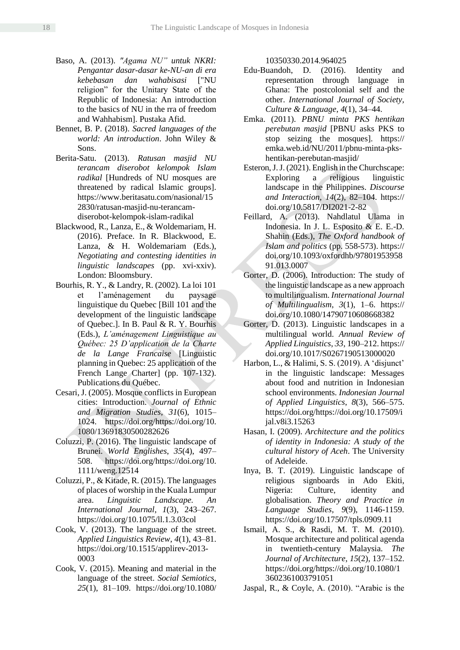- Baso, A. (2013). *"Agama NU" untuk NKRI: Pengantar dasar-dasar ke-NU-an di era kebebasan dan wahabisasi* ["NU religion" for the Unitary State of the Republic of Indonesia: An introduction to the basics of NU in the rra of freedom and Wahhabism]. Pustaka Afid.
- Bennet, B. P. (2018). *Sacred languages of the world: An introduction*. John Wiley & Sons.
- Berita-Satu. (2013). *Ratusan masjid NU terancam diserobot kelompok Islam radikal* [Hundreds of NU mosques are threatened by radical Islamic groups]. https://www.beritasatu.com/nasional/15 2830/ratusan-masjid-nu-terancamdiserobot-kelompok-islam-radikal
- Blackwood, R., Lanza, E., & Woldemariam, H. (2016). Preface. In R. Blackwood, E. Lanza, & H. Woldemariam (Eds.), *Negotiating and contesting identities in linguistic landscapes* (pp. xvi-xxiv). London: Bloomsbury.
- Bourhis, R. Y., & Landry, R. (2002). La loi 101 et l'aménagement du paysage linguistique du Quebec [Bill 101 and the development of the linguistic landscape of Quebec.]. In B. Paul & R. Y. Bourhis (Eds.), *L'aménagement Linguistique au Québec: 25 D'application de la Charte de la Lange Francaise* [Linguistic planning in Quebec: 25 application of the French Lange Charter] (pp. 107-132). Publications du Québec.
- Cesari, J. (2005). Mosque conflicts in European cities: Introduction. *Journal of Ethnic and Migration Studies*, *31*(6), 1015– 1024. https://doi.org/https://doi.org/10. 1080/13691830500282626
- Coluzzi, P. (2016). The linguistic landscape of Brunei. *World Englishes*, *35*(4), 497– 508. https://doi.org/https://doi.org/10. 1111/weng.12514
- Coluzzi, P., & Kitade, R. (2015). The languages of places of worship in the Kuala Lumpur area. *Linguistic Landscape. An International Journal*, *1*(3), 243–267. https://doi.org/10.1075/ll.1.3.03col
- Cook, V. (2013). The language of the street. *Applied Linguistics Review*, *4*(1), 43–81. https://doi.org/10.1515/applirev-2013- 0003
- Cook, V. (2015). Meaning and material in the language of the street. *Social Semiotics*, *25*(1), 81–109. https://doi.org/10.1080/

10350330.2014.964025

- Edu-Buandoh, D. (2016). Identity and representation through language in Ghana: The postcolonial self and the other. *International Journal of Society, Culture & Language*, *4*(1), 34–44.
- Emka. (2011). *PBNU minta PKS hentikan perebutan masjid* [PBNU asks PKS to stop seizing the mosques]. https:// emka.web.id/NU/2011/pbnu-minta-pkshentikan-perebutan-masjid/
- Esteron, J. J. (2021). English in the Churchscape: Exploring a religious linguistic landscape in the Philippines. *Discourse and Interaction*, *14*(2), 82–104. https:// doi.org/10.5817/DI2021-2-82
- Feillard, A. (2013). Nahdlatul Ulama in Indonesia. In J. L. Esposito & E. E.-D. Shahin (Eds.), *The Oxford handbook of Islam and politics* (pp. 558-573). https:// doi.org/10.1093/oxfordhb/97801953958 91.013.0007
- Gorter, D. (2006). Introduction: The study of the linguistic landscape as a new approach to multilingualism. *International Journal of Multilingualism*, *3*(1), 1–6. https:// doi.org/10.1080/14790710608668382
- Gorter, D. (2013). Linguistic landscapes in a multilingual world. *Annual Review of Applied Linguistics*, *33*, 190–212. https:// doi.org/10.1017/S0267190513000020
- Harbon, L., & Halimi, S. S. (2019). A 'disjunct' in the linguistic landscape: Messages about food and nutrition in Indonesian school environments. *Indonesian Journal of Applied Linguistics*, *8*(3), 566–575. https://doi.org/https://doi.org/10.17509/i jal.v8i3.15263
- Hasan, I. (2009). *Architecture and the politics of identity in Indonesia: A study of the cultural history of Aceh*. The University of Adeleide.
- Inya, B. T. (2019). Linguistic landscape of religious signboards in Ado Ekiti, Nigeria: Culture, identity and globalisation. *Theory and Practice in Language Studies*, *9*(9), 1146-1159. https://doi.org/10.17507/tpls.0909.11
- Ismail, A. S., & Rasdi, M. T. M. (2010). Mosque architecture and political agenda in twentieth-century Malaysia. *The Journal of Architecture*, *15*(2), 137–152. https://doi.org/https://doi.org/10.1080/1 3602361003791051
- Jaspal, R., & Coyle, A. (2010). "Arabic is the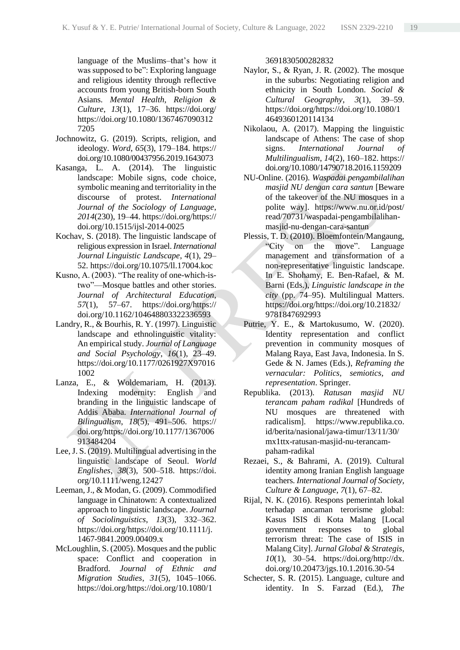language of the Muslims–that's how it was supposed to be": Exploring language and religious identity through reflective accounts from young British-born South Asians. *Mental Health, Religion & Culture*, *13*(1), 17–36. https://doi.org/ https://doi.org/10.1080/1367467090312 7205

- Jochnowitz, G. (2019). Scripts, religion, and ideology. *Word*, *65*(3), 179–184. https:// doi.org/10.1080/00437956.2019.1643073
- Kasanga, L. A. (2014). The linguistic landscape: Mobile signs, code choice, symbolic meaning and territoriality in the discourse of protest. *International Journal of the Sociology of Language*, *2014*(230), 19–44. https://doi.org/https:// doi.org/10.1515/ijsl-2014-0025
- Kochav, S. (2018). The linguistic landscape of religious expression in Israel. *International Journal Linguistic Landscape*, *4*(1), 29– 52. https://doi.org/10.1075/ll.17004.koc
- Kusno, A. (2003). "The reality of one-which-istwo"—Mosque battles and other stories. *Journal of Architectural Education*, *57*(1), 57–67. https://doi.org/https:// doi.org/10.1162/104648803322336593
- Landry, R., & Bourhis, R. Y. (1997). Linguistic landscape and ethnolinguistic vitality: An empirical study. *Journal of Language and Social Psychology*, *16*(1), 23–49. https://doi.org/10.1177/0261927X97016 1002
- Lanza, E., & Woldemariam, H. (2013). Indexing modernity: English and branding in the linguistic landscape of Addis Ababa. *International Journal of Bilingualism*, *18*(5), 491–506. https:// doi.org/https://doi.org/10.1177/1367006 913484204
- Lee, J. S. (2019). Multilingual advertising in the linguistic landscape of Seoul. *World Englishes*, *38*(3), 500–518. https://doi. org/10.1111/weng.12427
- Leeman, J., & Modan, G. (2009). Commodified language in Chinatown: A contextualized approach to linguistic landscape. *Journal of Sociolinguistics*, *13*(3), 332–362. https://doi.org/https://doi.org/10.1111/j. 1467-9841.2009.00409.x
- McLoughlin, S. (2005). Mosques and the public space: Conflict and cooperation in Bradford. *Journal of Ethnic and Migration Studies*, *31*(5), 1045–1066. https://doi.org/https://doi.org/10.1080/1

3691830500282832

- Naylor, S., & Ryan, J. R. (2002). The mosque in the suburbs: Negotiating religion and ethnicity in South London. *Social & Cultural Geography*, *3*(1), 39–59. https://doi.org/https://doi.org/10.1080/1 4649360120114134
- Nikolaou, A. (2017). Mapping the linguistic landscape of Athens: The case of shop signs. *International Journal of Multilingualism*, *14*(2), 160–182. https:// doi.org/10.1080/14790718.2016.1159209
- NU-Online. (2016). *Waspadai pengambilalihan masjid NU dengan cara santun* [Beware of the takeover of the NU mosques in a polite way]. https://www.nu.or.id/post/ read/70731/waspadai-pengambilalihanmasjid-nu-dengan-cara-santun
- Plessis, T. D. (2010). Bloemfontein/Mangaung, "City on the move". Language management and transformation of a non-representative linguistic landscape. In E. Shohamy, E. Ben-Rafael, & M. Barni (Eds.), *Linguistic landscape in the city* (pp. 74–95). Multilingual Matters. https://doi.org/https://doi.org/10.21832/ 9781847692993
- Putrie, Y. E., & Martokusumo, W. (2020). Identity representation and conflict prevention in community mosques of Malang Raya, East Java, Indonesia. In S. Gede & N. James (Eds.), *Reframing the vernacular: Politics, semiotics, and representation*. Springer.
- Republika. (2013). *Ratusan masjid NU terancam paham radikal* [Hundreds of NU mosques are threatened with radicalism]. https://www.republika.co. id/berita/nasional/jawa-timur/13/11/30/ mx1ttx-ratusan-masjid-nu-terancampaham-radikal
- Rezaei, S., & Bahrami, A. (2019). Cultural identity among Iranian English language teachers. *International Journal of Society, Culture & Language*, *7*(1), 67–82.
- Rijal, N. K. (2016). Respons pemerintah lokal terhadap ancaman terorisme global: Kasus ISIS di Kota Malang [Local government responses to global terrorism threat: The case of ISIS in Malang City]. *Jurnal Global & Strategis*, *10*(1), 30–54. https://doi.org/http://dx. doi.org/10.20473/jgs.10.1.2016.30-54
- Schecter, S. R. (2015). Language, culture and identity. In S. Farzad (Ed.), *The*